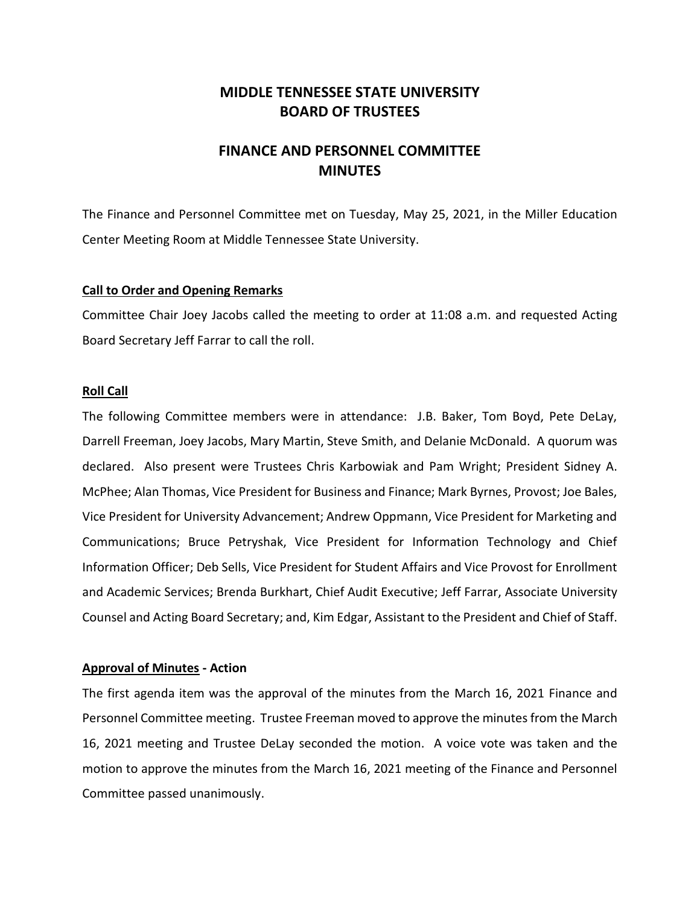## **MIDDLE TENNESSEE STATE UNIVERSITY BOARD OF TRUSTEES**

# **FINANCE AND PERSONNEL COMMITTEE MINUTES**

The Finance and Personnel Committee met on Tuesday, May 25, 2021, in the Miller Education Center Meeting Room at Middle Tennessee State University.

#### **Call to Order and Opening Remarks**

Committee Chair Joey Jacobs called the meeting to order at 11:08 a.m. and requested Acting Board Secretary Jeff Farrar to call the roll.

#### **Roll Call**

The following Committee members were in attendance: J.B. Baker, Tom Boyd, Pete DeLay, Darrell Freeman, Joey Jacobs, Mary Martin, Steve Smith, and Delanie McDonald. A quorum was declared. Also present were Trustees Chris Karbowiak and Pam Wright; President Sidney A. McPhee; Alan Thomas, Vice President for Business and Finance; Mark Byrnes, Provost; Joe Bales, Vice President for University Advancement; Andrew Oppmann, Vice President for Marketing and Communications; Bruce Petryshak, Vice President for Information Technology and Chief Information Officer; Deb Sells, Vice President for Student Affairs and Vice Provost for Enrollment and Academic Services; Brenda Burkhart, Chief Audit Executive; Jeff Farrar, Associate University Counsel and Acting Board Secretary; and, Kim Edgar, Assistant to the President and Chief of Staff.

### **Approval of Minutes - Action**

The first agenda item was the approval of the minutes from the March 16, 2021 Finance and Personnel Committee meeting. Trustee Freeman moved to approve the minutes from the March 16, 2021 meeting and Trustee DeLay seconded the motion. A voice vote was taken and the motion to approve the minutes from the March 16, 2021 meeting of the Finance and Personnel Committee passed unanimously.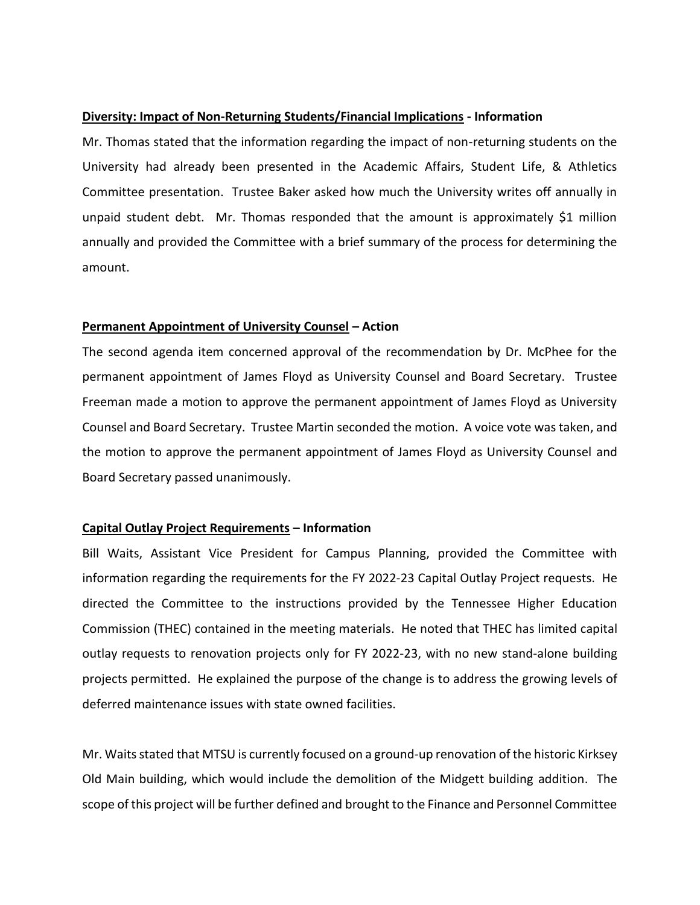#### **Diversity: Impact of Non-Returning Students/Financial Implications - Information**

Mr. Thomas stated that the information regarding the impact of non-returning students on the University had already been presented in the Academic Affairs, Student Life, & Athletics Committee presentation. Trustee Baker asked how much the University writes off annually in unpaid student debt. Mr. Thomas responded that the amount is approximately \$1 million annually and provided the Committee with a brief summary of the process for determining the amount.

#### **Permanent Appointment of University Counsel – Action**

The second agenda item concerned approval of the recommendation by Dr. McPhee for the permanent appointment of James Floyd as University Counsel and Board Secretary. Trustee Freeman made a motion to approve the permanent appointment of James Floyd as University Counsel and Board Secretary. Trustee Martin seconded the motion. A voice vote was taken, and the motion to approve the permanent appointment of James Floyd as University Counsel and Board Secretary passed unanimously.

### **Capital Outlay Project Requirements – Information**

Bill Waits, Assistant Vice President for Campus Planning, provided the Committee with information regarding the requirements for the FY 2022-23 Capital Outlay Project requests. He directed the Committee to the instructions provided by the Tennessee Higher Education Commission (THEC) contained in the meeting materials. He noted that THEC has limited capital outlay requests to renovation projects only for FY 2022-23, with no new stand-alone building projects permitted. He explained the purpose of the change is to address the growing levels of deferred maintenance issues with state owned facilities.

Mr. Waits stated that MTSU is currently focused on a ground-up renovation of the historic Kirksey Old Main building, which would include the demolition of the Midgett building addition. The scope of this project will be further defined and brought to the Finance and Personnel Committee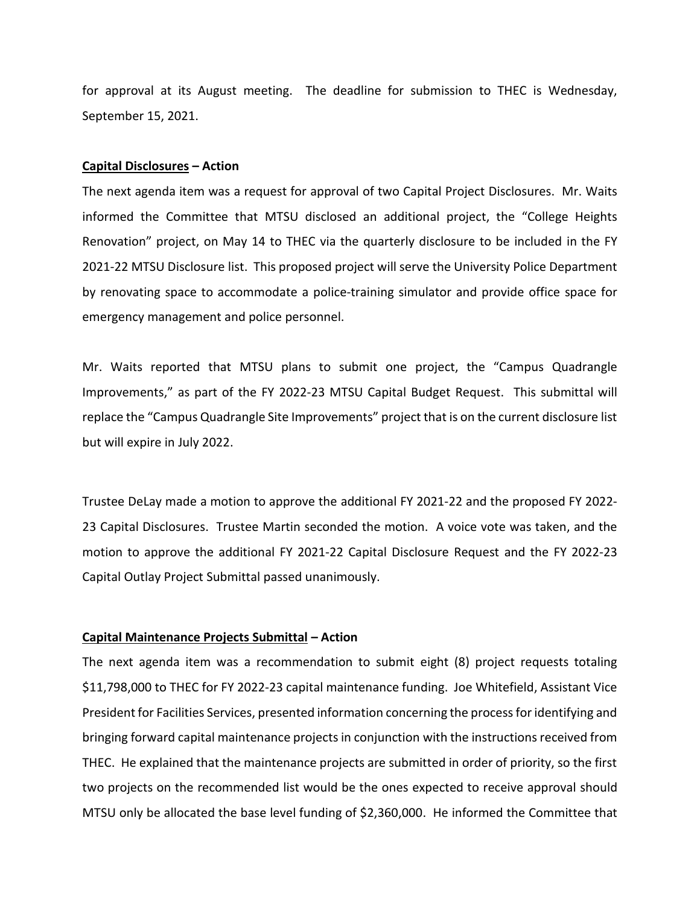for approval at its August meeting. The deadline for submission to THEC is Wednesday, September 15, 2021.

#### **Capital Disclosures – Action**

The next agenda item was a request for approval of two Capital Project Disclosures. Mr. Waits informed the Committee that MTSU disclosed an additional project, the "College Heights Renovation" project, on May 14 to THEC via the quarterly disclosure to be included in the FY 2021-22 MTSU Disclosure list. This proposed project will serve the University Police Department by renovating space to accommodate a police-training simulator and provide office space for emergency management and police personnel.

Mr. Waits reported that MTSU plans to submit one project, the "Campus Quadrangle Improvements," as part of the FY 2022-23 MTSU Capital Budget Request. This submittal will replace the "Campus Quadrangle Site Improvements" project that is on the current disclosure list but will expire in July 2022.

Trustee DeLay made a motion to approve the additional FY 2021-22 and the proposed FY 2022- 23 Capital Disclosures. Trustee Martin seconded the motion. A voice vote was taken, and the motion to approve the additional FY 2021-22 Capital Disclosure Request and the FY 2022-23 Capital Outlay Project Submittal passed unanimously.

### **Capital Maintenance Projects Submittal – Action**

The next agenda item was a recommendation to submit eight (8) project requests totaling \$11,798,000 to THEC for FY 2022-23 capital maintenance funding. Joe Whitefield, Assistant Vice President for Facilities Services, presented information concerning the process for identifying and bringing forward capital maintenance projects in conjunction with the instructions received from THEC. He explained that the maintenance projects are submitted in order of priority, so the first two projects on the recommended list would be the ones expected to receive approval should MTSU only be allocated the base level funding of \$2,360,000. He informed the Committee that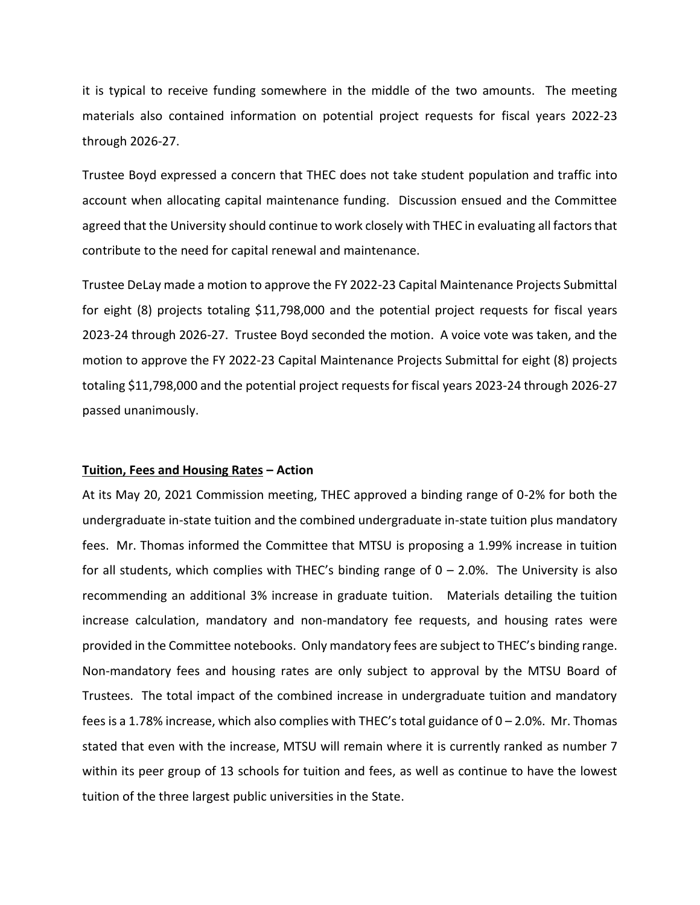it is typical to receive funding somewhere in the middle of the two amounts. The meeting materials also contained information on potential project requests for fiscal years 2022-23 through 2026-27.

Trustee Boyd expressed a concern that THEC does not take student population and traffic into account when allocating capital maintenance funding. Discussion ensued and the Committee agreed that the University should continue to work closely with THEC in evaluating all factors that contribute to the need for capital renewal and maintenance.

Trustee DeLay made a motion to approve the FY 2022-23 Capital Maintenance Projects Submittal for eight (8) projects totaling \$11,798,000 and the potential project requests for fiscal years 2023-24 through 2026-27. Trustee Boyd seconded the motion. A voice vote was taken, and the motion to approve the FY 2022-23 Capital Maintenance Projects Submittal for eight (8) projects totaling \$11,798,000 and the potential project requests for fiscal years 2023-24 through 2026-27 passed unanimously.

#### **Tuition, Fees and Housing Rates – Action**

At its May 20, 2021 Commission meeting, THEC approved a binding range of 0-2% for both the undergraduate in-state tuition and the combined undergraduate in-state tuition plus mandatory fees. Mr. Thomas informed the Committee that MTSU is proposing a 1.99% increase in tuition for all students, which complies with THEC's binding range of  $0 - 2.0$ %. The University is also recommending an additional 3% increase in graduate tuition. Materials detailing the tuition increase calculation, mandatory and non-mandatory fee requests, and housing rates were provided in the Committee notebooks. Only mandatory fees are subject to THEC's binding range. Non-mandatory fees and housing rates are only subject to approval by the MTSU Board of Trustees. The total impact of the combined increase in undergraduate tuition and mandatory fees is a 1.78% increase, which also complies with THEC's total guidance of  $0 - 2.0$ %. Mr. Thomas stated that even with the increase, MTSU will remain where it is currently ranked as number 7 within its peer group of 13 schools for tuition and fees, as well as continue to have the lowest tuition of the three largest public universities in the State.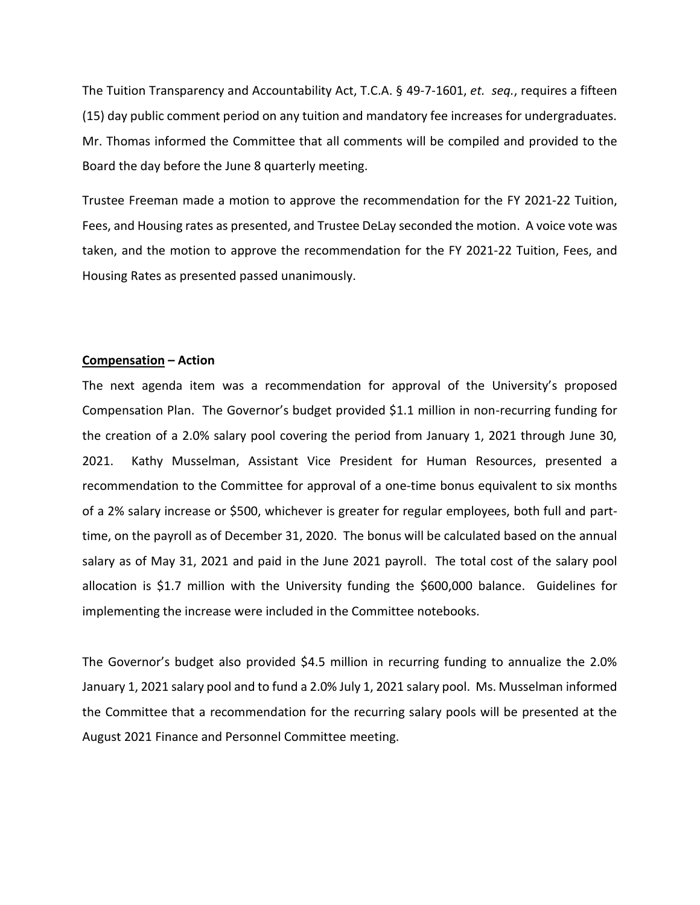The Tuition Transparency and Accountability Act, T.C.A. § 49-7-1601, *et. seq.*, requires a fifteen (15) day public comment period on any tuition and mandatory fee increases for undergraduates. Mr. Thomas informed the Committee that all comments will be compiled and provided to the Board the day before the June 8 quarterly meeting.

Trustee Freeman made a motion to approve the recommendation for the FY 2021-22 Tuition, Fees, and Housing rates as presented, and Trustee DeLay seconded the motion. A voice vote was taken, and the motion to approve the recommendation for the FY 2021-22 Tuition, Fees, and Housing Rates as presented passed unanimously.

#### **Compensation – Action**

The next agenda item was a recommendation for approval of the University's proposed Compensation Plan. The Governor's budget provided \$1.1 million in non-recurring funding for the creation of a 2.0% salary pool covering the period from January 1, 2021 through June 30, 2021. Kathy Musselman, Assistant Vice President for Human Resources, presented a recommendation to the Committee for approval of a one-time bonus equivalent to six months of a 2% salary increase or \$500, whichever is greater for regular employees, both full and parttime, on the payroll as of December 31, 2020. The bonus will be calculated based on the annual salary as of May 31, 2021 and paid in the June 2021 payroll. The total cost of the salary pool allocation is \$1.7 million with the University funding the \$600,000 balance. Guidelines for implementing the increase were included in the Committee notebooks.

The Governor's budget also provided \$4.5 million in recurring funding to annualize the 2.0% January 1, 2021 salary pool and to fund a 2.0% July 1, 2021 salary pool. Ms. Musselman informed the Committee that a recommendation for the recurring salary pools will be presented at the August 2021 Finance and Personnel Committee meeting.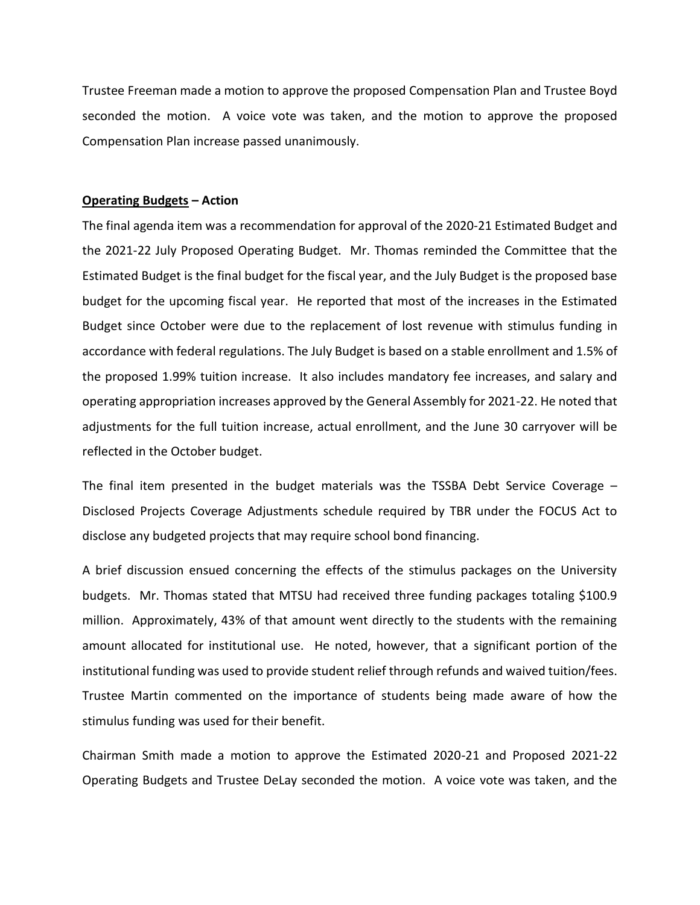Trustee Freeman made a motion to approve the proposed Compensation Plan and Trustee Boyd seconded the motion. A voice vote was taken, and the motion to approve the proposed Compensation Plan increase passed unanimously.

### **Operating Budgets – Action**

The final agenda item was a recommendation for approval of the 2020-21 Estimated Budget and the 2021-22 July Proposed Operating Budget. Mr. Thomas reminded the Committee that the Estimated Budget is the final budget for the fiscal year, and the July Budget is the proposed base budget for the upcoming fiscal year. He reported that most of the increases in the Estimated Budget since October were due to the replacement of lost revenue with stimulus funding in accordance with federal regulations. The July Budget is based on a stable enrollment and 1.5% of the proposed 1.99% tuition increase. It also includes mandatory fee increases, and salary and operating appropriation increases approved by the General Assembly for 2021-22. He noted that adjustments for the full tuition increase, actual enrollment, and the June 30 carryover will be reflected in the October budget.

The final item presented in the budget materials was the TSSBA Debt Service Coverage – Disclosed Projects Coverage Adjustments schedule required by TBR under the FOCUS Act to disclose any budgeted projects that may require school bond financing.

A brief discussion ensued concerning the effects of the stimulus packages on the University budgets. Mr. Thomas stated that MTSU had received three funding packages totaling \$100.9 million. Approximately, 43% of that amount went directly to the students with the remaining amount allocated for institutional use. He noted, however, that a significant portion of the institutional funding was used to provide student relief through refunds and waived tuition/fees. Trustee Martin commented on the importance of students being made aware of how the stimulus funding was used for their benefit.

Chairman Smith made a motion to approve the Estimated 2020-21 and Proposed 2021-22 Operating Budgets and Trustee DeLay seconded the motion. A voice vote was taken, and the